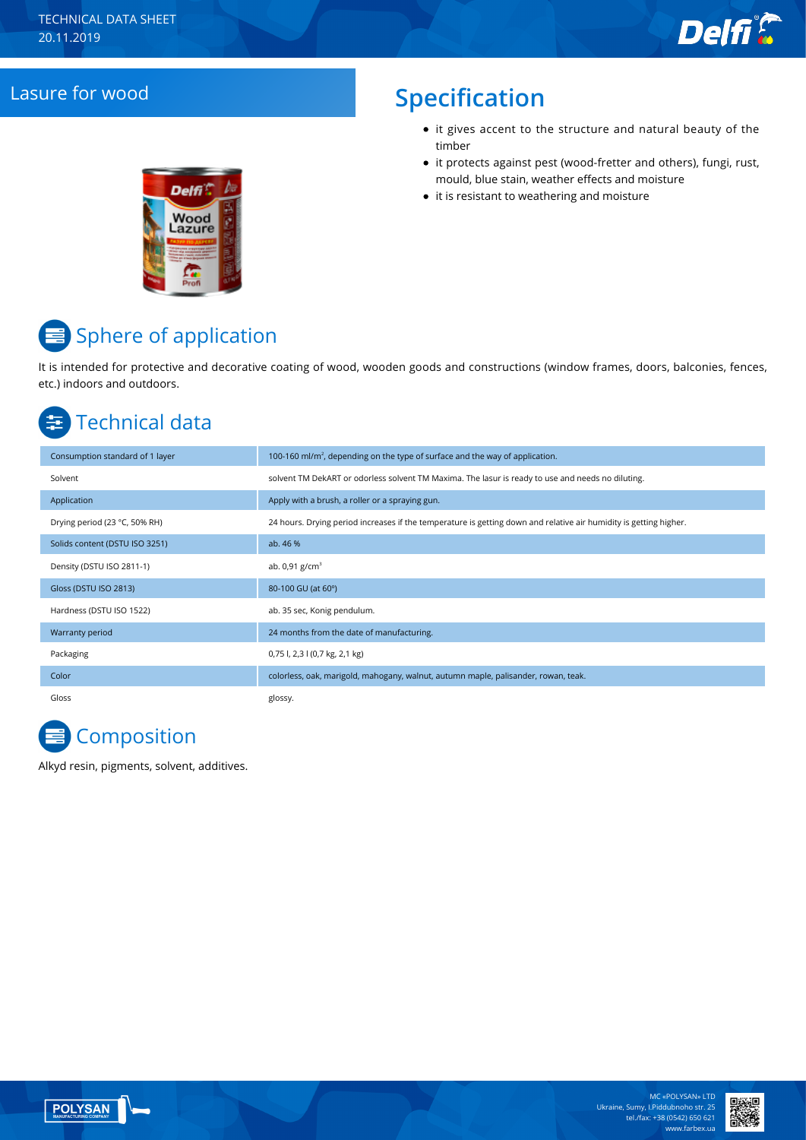## Lasure for wood **Specification**

- it gives accent to the structure and natural beauty of the timber
- it protects against pest (wood-fretter and others), fungi, rust, mould, blue stain, weather effects and moisture
- it is resistant to weathering and moisture



# **■** Sphere of application

It is intended for protective and decorative coating of wood, wooden goods and constructions (window frames, doors, balconies, fences, etc.) indoors and outdoors.

## Technical data

| Consumption standard of 1 layer | 100-160 ml/m <sup>2</sup> , depending on the type of surface and the way of application.                          |
|---------------------------------|-------------------------------------------------------------------------------------------------------------------|
| Solvent                         | solvent TM DekART or odorless solvent TM Maxima. The lasur is ready to use and needs no diluting.                 |
| Application                     | Apply with a brush, a roller or a spraying gun.                                                                   |
| Drying period (23 °C, 50% RH)   | 24 hours. Drying period increases if the temperature is getting down and relative air humidity is getting higher. |
| Solids content (DSTU ISO 3251)  | ab. 46 %                                                                                                          |
| Density (DSTU ISO 2811-1)       | ab. $0.91$ g/cm <sup>3</sup>                                                                                      |
| Gloss (DSTU ISO 2813)           | 80-100 GU (at 60°)                                                                                                |
| Hardness (DSTU ISO 1522)        | ab. 35 sec, Konig pendulum.                                                                                       |
| Warranty period                 | 24 months from the date of manufacturing.                                                                         |
| Packaging                       | 0,75 l, 2,3 l (0,7 kg, 2,1 kg)                                                                                    |
| Color                           | colorless, oak, marigold, mahogany, walnut, autumn maple, palisander, rowan, teak.                                |
| Gloss                           | glossy.                                                                                                           |



Alkyd resin, pigments, solvent, additives.